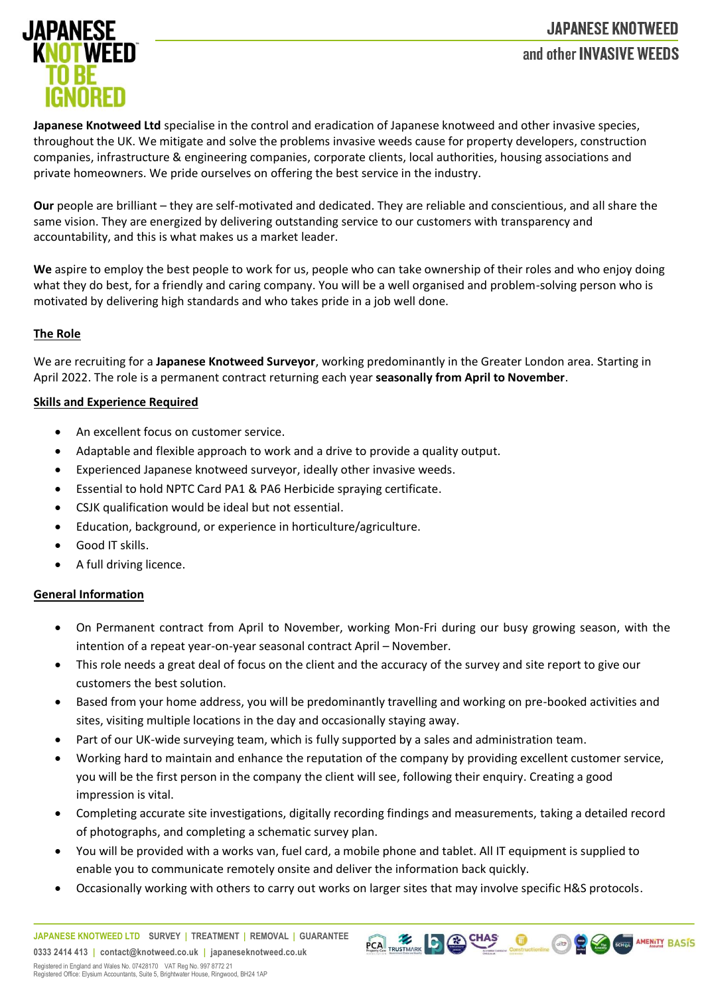# **JAPANESE KNOTWEED** and other INVASIVE WEEDS



**Japanese Knotweed Ltd** specialise in the control and eradication of Japanese knotweed and other invasive species, throughout the UK. We mitigate and solve the problems invasive weeds cause for property developers, construction companies, infrastructure & engineering companies, corporate clients, local authorities, housing associations and private homeowners. We pride ourselves on offering the best service in the industry.

**Our** people are brilliant – they are self-motivated and dedicated. They are reliable and conscientious, and all share the same vision. They are energized by delivering outstanding service to our customers with transparency and accountability, and this is what makes us a market leader.

**We** aspire to employ the best people to work for us, people who can take ownership of their roles and who enjoy doing what they do best, for a friendly and caring company. You will be a well organised and problem-solving person who is motivated by delivering high standards and who takes pride in a job well done.

## **The Role**

We are recruiting for a **Japanese Knotweed Surveyor**, working predominantly in the Greater London area. Starting in April 2022. The role is a permanent contract returning each year **seasonally from April to November**.

## **Skills and Experience Required**

- An excellent focus on customer service.
- Adaptable and flexible approach to work and a drive to provide a quality output.
- Experienced Japanese knotweed surveyor, ideally other invasive weeds.
- Essential to hold NPTC Card PA1 & PA6 Herbicide spraying certificate.
- CSJK qualification would be ideal but not essential.
- Education, background, or experience in horticulture/agriculture.
- Good IT skills.
- A full driving licence.

#### **General Information**

- On Permanent contract from April to November, working Mon-Fri during our busy growing season, with the intention of a repeat year-on-year seasonal contract April – November.
- This role needs a great deal of focus on the client and the accuracy of the survey and site report to give our customers the best solution.
- Based from your home address, you will be predominantly travelling and working on pre-booked activities and sites, visiting multiple locations in the day and occasionally staying away.
- Part of our UK-wide surveying team, which is fully supported by a sales and administration team.
- Working hard to maintain and enhance the reputation of the company by providing excellent customer service, you will be the first person in the company the client will see, following their enquiry. Creating a good impression is vital.
- Completing accurate site investigations, digitally recording findings and measurements, taking a detailed record of photographs, and completing a schematic survey plan.
- You will be provided with a works van, fuel card, a mobile phone and tablet. All IT equipment is supplied to enable you to communicate remotely onsite and deliver the information back quickly.
- Occasionally working with others to carry out works on larger sites that may involve specific H&S protocols.